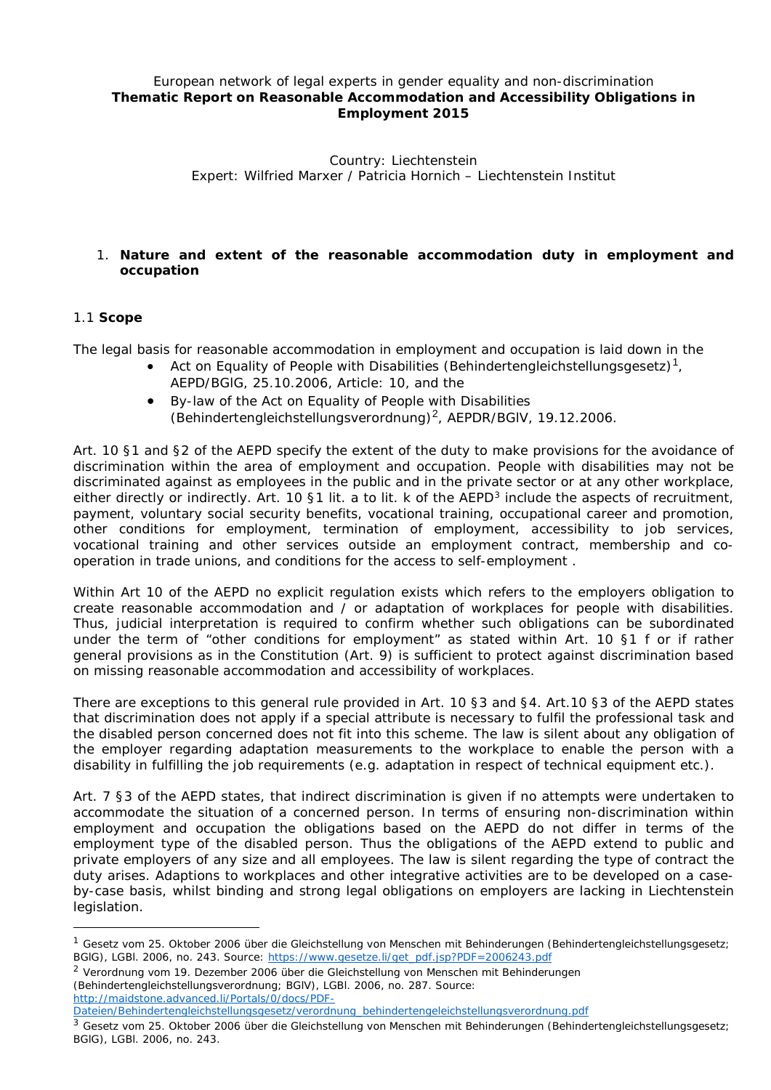## *European network of legal experts in gender equality and non-discrimination* **Thematic Report on Reasonable Accommodation and Accessibility Obligations in Employment 2015**

Country: Liechtenstein Expert: Wilfried Marxer / Patricia Hornich – Liechtenstein Institut

# 1. **Nature and extent of the reasonable accommodation duty in employment and occupation**

## 1.1 **Scope**

-

The legal basis for reasonable accommodation in employment and occupation is laid down in the

- Act on Equality of People with Disabilities (*Behindertengleichstellungsgesetz*)[1](#page-0-0), AEPD/BGlG, 25.10.2006, Article: 10, and the
- By-law of the Act on Equality of People with Disabilities (*Behindertengleichstellungsverordnung*)[2](#page-0-1), AEPDR/BGlV, 19.12.2006.

Art. 10 §1 and §2 of the AEPD specify the extent of the duty to make provisions for the avoidance of discrimination within the area of employment and occupation. People with disabilities may not be discriminated against as employees in the public and in the private sector or at any other workplace, either directly or indirectly. Art. 10 §1 lit. a to lit. k of the AEPD<sup>[3](#page-0-2)</sup> include the aspects of recruitment, payment, voluntary social security benefits, vocational training, occupational career and promotion, other conditions for employment, termination of employment, accessibility to job services, vocational training and other services outside an employment contract, membership and cooperation in trade unions, and conditions for the access to self-employment .

Within Art 10 of the AEPD no explicit regulation exists which refers to the employers obligation to create reasonable accommodation and / or adaptation of workplaces for people with disabilities. Thus, judicial interpretation is required to confirm whether such obligations can be subordinated under the term of "other conditions for employment" as stated within Art. 10 §1 f or if rather general provisions as in the Constitution (Art. 9) is sufficient to protect against discrimination based on missing reasonable accommodation and accessibility of workplaces.

There are exceptions to this general rule provided in Art. 10 §3 and §4. Art.10 §3 of the AEPD states that discrimination does not apply if a special attribute is necessary to fulfil the professional task and the disabled person concerned does not fit into this scheme. The law is silent about any obligation of the employer regarding adaptation measurements to the workplace to enable the person with a disability in fulfilling the job requirements (e.g. adaptation in respect of technical equipment etc.).

Art. 7 §3 of the AEPD states, that indirect discrimination is given if no attempts were undertaken to accommodate the situation of a concerned person. In terms of ensuring non-discrimination within employment and occupation the obligations based on the AEPD do not differ in terms of the employment type of the disabled person. Thus the obligations of the AEPD extend to public and private employers of any size and all employees. The law is silent regarding the type of contract the duty arises. Adaptions to workplaces and other integrative activities are to be developed on a caseby-case basis, whilst binding and strong legal obligations on employers are lacking in Liechtenstein legislation.

<span id="page-0-1"></span><sup>2</sup> Verordnung vom 19. Dezember 2006 über die Gleichstellung von Menschen mit Behinderungen (Behindertengleichstellungsverordnung; BGlV), LGBl. 2006, no. 287. Source: [http://maidstone.advanced.li/Portals/0/docs/PDF-](http://maidstone.advanced.li/Portals/0/docs/PDF-Dateien/Behindertengleichstellungsgesetz/verordnung_behindertengeleichstellungsverordnung.pdf)

<span id="page-0-0"></span><sup>&</sup>lt;sup>1</sup> Gesetz vom 25. Oktober 2006 über die Gleichstellung von Menschen mit Behinderungen (Behindertengleichstellungsgesetz; BGlG), LGBl. 2006, no. 243. Source: [https://www.gesetze.li/get\\_pdf.jsp?PDF=2006243.pdf](https://www.gesetze.li/get_pdf.jsp?PDF=2006243.pdf)

[Dateien/Behindertengleichstellungsgesetz/verordnung\\_behindertengeleichstellungsverordnung.pdf](http://maidstone.advanced.li/Portals/0/docs/PDF-Dateien/Behindertengleichstellungsgesetz/verordnung_behindertengeleichstellungsverordnung.pdf)

<span id="page-0-2"></span> $3$  Gesetz vom 25. Oktober 2006 über die Gleichstellung von Menschen mit Behinderungen (Behindertengleichstellungsgesetz; BGlG), LGBl. 2006, no. 243.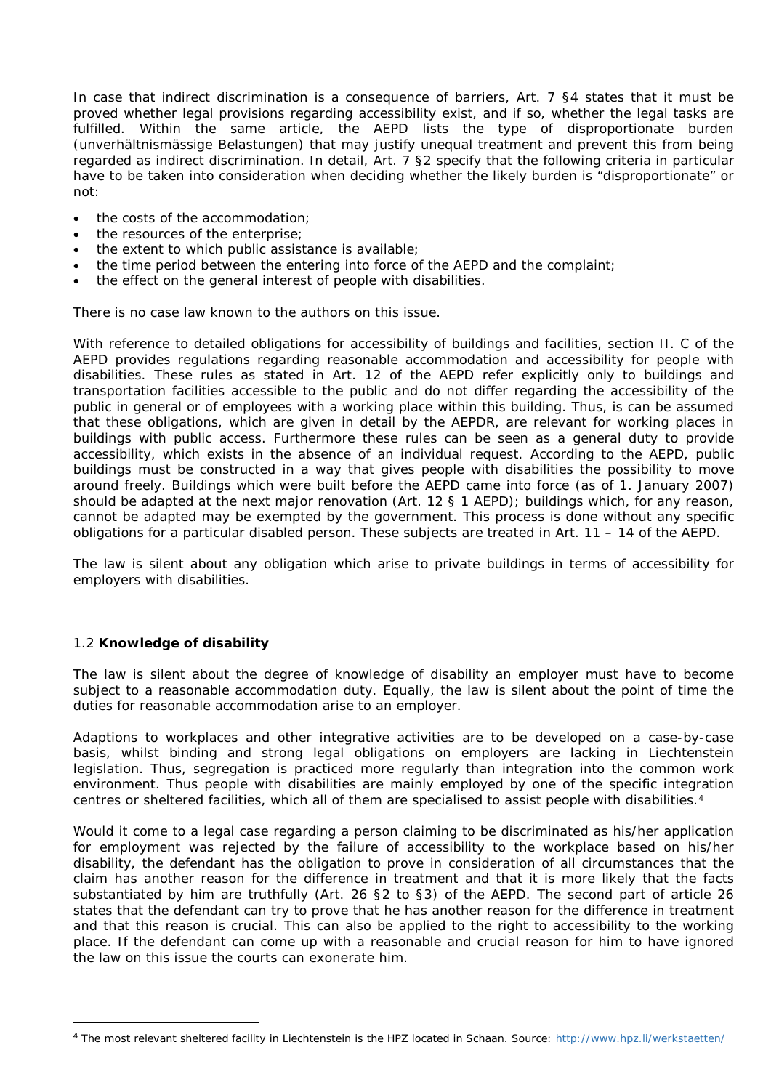In case that indirect discrimination is a consequence of barriers, Art. 7 §4 states that it must be proved whether legal provisions regarding accessibility exist, and if so, whether the legal tasks are fulfilled. Within the same article, the AEPD lists the type of disproportionate burden (*unverhältnismässige Belastungen*) that may justify unequal treatment and prevent this from being regarded as indirect discrimination. In detail, Art. 7 §2 specify that the following criteria in particular have to be taken into consideration when deciding whether the likely burden is "disproportionate" or not:

- the costs of the accommodation;
- the resources of the enterprise;
- the extent to which public assistance is available;
- the time period between the entering into force of the AEPD and the complaint;
- the effect on the general interest of people with disabilities.

There is no case law known to the authors on this issue.

With reference to detailed obligations for accessibility of buildings and facilities, section II. C of the AEPD provides regulations regarding reasonable accommodation and accessibility for people with disabilities. These rules as stated in Art. 12 of the AEPD refer explicitly only to buildings and transportation facilities accessible to the public and do not differ regarding the accessibility of the public in general or of employees with a working place within this building. Thus, is can be assumed that these obligations, which are given in detail by the AEPDR, are relevant for working places in buildings with public access. Furthermore these rules can be seen as a general duty to provide accessibility, which exists in the absence of an individual request. According to the AEPD, public buildings must be constructed in a way that gives people with disabilities the possibility to move around freely. Buildings which were built before the AEPD came into force (as of 1. January 2007) should be adapted at the next major renovation (Art. 12 § 1 AEPD); buildings which, for any reason, cannot be adapted may be exempted by the government. This process is done without any specific obligations for a particular disabled person. These subjects are treated in Art. 11 – 14 of the AEPD.

The law is silent about any obligation which arise to private buildings in terms of accessibility for employers with disabilities.

## 1.2 **Knowledge of disability**

The law is silent about the degree of knowledge of disability an employer must have to become subject to a reasonable accommodation duty. Equally, the law is silent about the point of time the duties for reasonable accommodation arise to an employer.

Adaptions to workplaces and other integrative activities are to be developed on a case-by-case basis, whilst binding and strong legal obligations on employers are lacking in Liechtenstein legislation. Thus, segregation is practiced more regularly than integration into the common work environment. Thus people with disabilities are mainly employed by one of the specific integration centres or sheltered facilities, which all of them are specialised to assist people with disabilities.[4](#page-1-0)

Would it come to a legal case regarding a person claiming to be discriminated as his/her application for employment was rejected by the failure of accessibility to the workplace based on his/her disability, the defendant has the obligation to prove in consideration of all circumstances that the claim has another reason for the difference in treatment and that it is more likely that the facts substantiated by him are truthfully (Art. 26 §2 to §3) of the AEPD. The second part of article 26 states that the defendant can try to prove that he has another reason for the difference in treatment and that this reason is crucial. This can also be applied to the right to accessibility to the working place. If the defendant can come up with a reasonable and crucial reason for him to have ignored the law on this issue the courts can exonerate him.

<span id="page-1-0"></span> <sup>4</sup> The most relevant sheltered facility in Liechtenstein is the HPZ located in Schaan. Source: <http://www.hpz.li/werkstaetten/>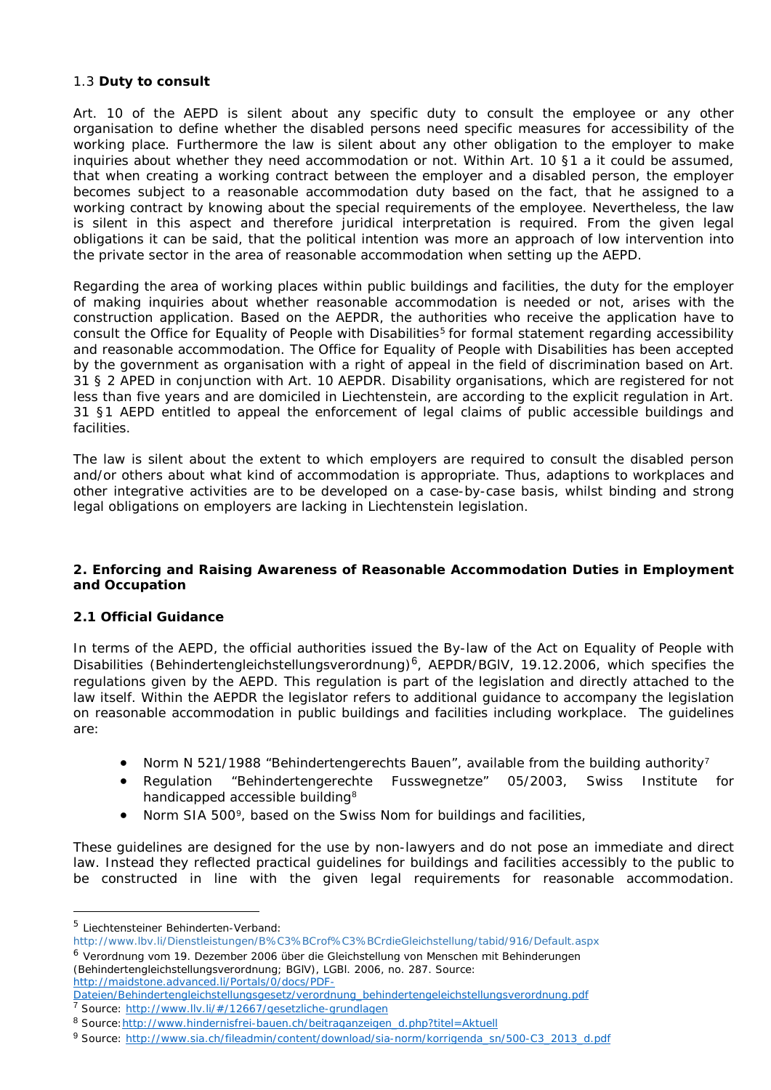## 1.3 **Duty to consult**

Art. 10 of the AEPD is silent about any specific duty to consult the employee or any other organisation to define whether the disabled persons need specific measures for accessibility of the working place. Furthermore the law is silent about any other obligation to the employer to make inquiries about whether they need accommodation or not. Within Art. 10 §1 a it could be assumed, that when creating a working contract between the employer and a disabled person, the employer becomes subject to a reasonable accommodation duty based on the fact, that he assigned to a working contract by knowing about the special requirements of the employee. Nevertheless, the law is silent in this aspect and therefore juridical interpretation is required. From the given legal obligations it can be said, that the political intention was more an approach of low intervention into the private sector in the area of reasonable accommodation when setting up the AEPD.

Regarding the area of working places within public buildings and facilities, the duty for the employer of making inquiries about whether reasonable accommodation is needed or not, arises with the construction application. Based on the AEPDR, the authorities who receive the application have to consult the Office for Equality of People with Disabilities<sup>[5](#page-2-0)</sup> for formal statement regarding accessibility and reasonable accommodation. The Office for Equality of People with Disabilities has been accepted by the government as organisation with a right of appeal in the field of discrimination based on Art. 31 § 2 APED in conjunction with Art. 10 AEPDR. Disability organisations, which are registered for not less than five years and are domiciled in Liechtenstein, are according to the explicit regulation in Art. 31 §1 AEPD entitled to appeal the enforcement of legal claims of public accessible buildings and facilities.

The law is silent about the extent to which employers are required to consult the disabled person and/or others about what kind of accommodation is appropriate. Thus, adaptions to workplaces and other integrative activities are to be developed on a case-by-case basis, whilst binding and strong legal obligations on employers are lacking in Liechtenstein legislation.

#### **2. Enforcing and Raising Awareness of Reasonable Accommodation Duties in Employment and Occupation**

## **2.1 Official Guidance**

In terms of the AEPD, the official authorities issued the By-law of the Act on Equality of People with Disabilities (*Behindertengleichstellungsverordnung*)[6](#page-2-1), AEPDR/BGlV, 19.12.2006, which specifies the regulations given by the AEPD. This regulation is part of the legislation and directly attached to the law itself. Within the AEPDR the legislator refers to additional guidance to accompany the legislation on reasonable accommodation in public buildings and facilities including workplace. The guidelines are:

- Norm N 521/1988 "*Behindertengerechts Bauen*", available from the building authority[7](#page-2-2)
- Regulation "*Behindertengerechte Fusswegnetze*" 05/2003, Swiss Institute for handicapped accessible building[8](#page-2-3)
- Norm SIA 500<sup>[9](#page-2-4)</sup>, based on the Swiss Nom for buildings and facilities,

These guidelines are designed for the use by non-lawyers and do not pose an immediate and direct law. Instead they reflected practical guidelines for buildings and facilities accessibly to the public to be constructed in line with the given legal requirements for reasonable accommodation.

-

[http://maidstone.advanced.li/Portals/0/docs/PDF-](http://maidstone.advanced.li/Portals/0/docs/PDF-Dateien/Behindertengleichstellungsgesetz/verordnung_behindertengeleichstellungsverordnung.pdf)

<span id="page-2-0"></span><sup>5</sup> Liechtensteiner Behinderten-Verband:

<span id="page-2-1"></span><http://www.lbv.li/Dienstleistungen/B%C3%BCrof%C3%BCrdieGleichstellung/tabid/916/Default.aspx> <sup>6</sup> Verordnung vom 19. Dezember 2006 über die Gleichstellung von Menschen mit Behinderungen (Behindertengleichstellungsverordnung; BGlV), LGBl. 2006, no. 287. Source:

[Dateien/Behindertengleichstellungsgesetz/verordnung\\_behindertengeleichstellungsverordnung.pdf](http://maidstone.advanced.li/Portals/0/docs/PDF-Dateien/Behindertengleichstellungsgesetz/verordnung_behindertengeleichstellungsverordnung.pdf) <sup>7</sup> Source: <http://www.llv.li/#/12667/gesetzliche-grundlagen>

<span id="page-2-3"></span><span id="page-2-2"></span><sup>8</sup> Source: http://www.hindernisfrei-bauen.ch/beitraganzeigen\_d.php?titel=Aktuell

<span id="page-2-4"></span><sup>9</sup> Source: [http://www.sia.ch/fileadmin/content/download/sia-norm/korrigenda\\_sn/500-C3\\_2013\\_d.pdf](http://www.sia.ch/fileadmin/content/download/sia-norm/korrigenda_sn/500-C3_2013_d.pdf)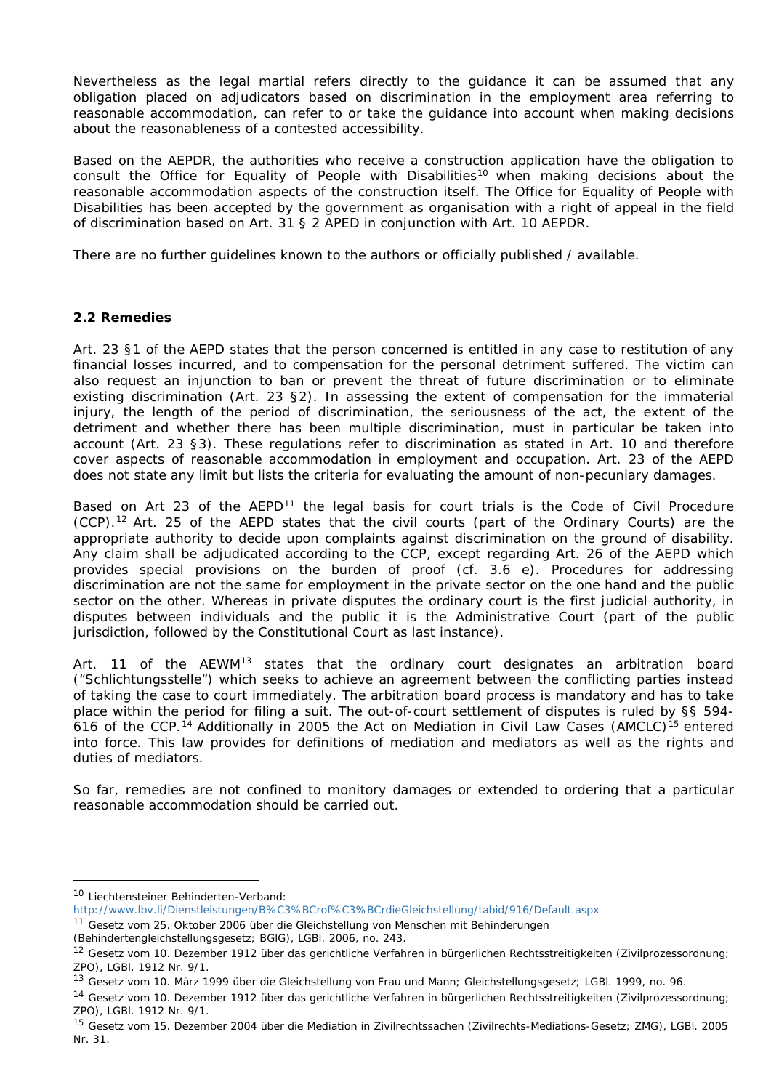Nevertheless as the legal martial refers directly to the guidance it can be assumed that any obligation placed on adjudicators based on discrimination in the employment area referring to reasonable accommodation, can refer to or take the guidance into account when making decisions about the reasonableness of a contested accessibility.

Based on the AEPDR, the authorities who receive a construction application have the obligation to consult the Office for Equality of People with Disabilities<sup>[10](#page-3-0)</sup> when making decisions about the reasonable accommodation aspects of the construction itself. The Office for Equality of People with Disabilities has been accepted by the government as organisation with a right of appeal in the field of discrimination based on Art. 31 § 2 APED in conjunction with Art. 10 AEPDR.

There are no further guidelines known to the authors or officially published / available.

# **2.2 Remedies**

Art. 23 §1 of the AEPD states that the person concerned is entitled in any case to restitution of any financial losses incurred, and to compensation for the personal detriment suffered. The victim can also request an injunction to ban or prevent the threat of future discrimination or to eliminate existing discrimination (Art. 23 §2). In assessing the extent of compensation for the immaterial injury, the length of the period of discrimination, the seriousness of the act, the extent of the detriment and whether there has been multiple discrimination, must in particular be taken into account (Art. 23 §3). These regulations refer to discrimination as stated in Art. 10 and therefore cover aspects of reasonable accommodation in employment and occupation. Art. 23 of the AEPD does not state any limit but lists the criteria for evaluating the amount of non-pecuniary damages.

Based on Art 23 of the  $AEPD<sup>11</sup>$  $AEPD<sup>11</sup>$  $AEPD<sup>11</sup>$  the legal basis for court trials is the Code of Civil Procedure (CCP).[12](#page-3-2) Art. 25 of the AEPD states that the civil courts (part of the Ordinary Courts) are the appropriate authority to decide upon complaints against discrimination on the ground of disability. Any claim shall be adjudicated according to the CCP, except regarding Art. 26 of the AEPD which provides special provisions on the burden of proof (cf. 3.6 e). Procedures for addressing discrimination are not the same for employment in the private sector on the one hand and the public sector on the other. Whereas in private disputes the ordinary court is the first judicial authority, in disputes between individuals and the public it is the Administrative Court (part of the public jurisdiction, followed by the Constitutional Court as last instance).

Art. 11 of the AEWM<sup>[13](#page-3-3)</sup> states that the ordinary court designates an arbitration board ("*Schlichtungsstelle*") which seeks to achieve an agreement between the conflicting parties instead of taking the case to court immediately. The arbitration board process is mandatory and has to take place within the period for filing a suit. The out-of-court settlement of disputes is ruled by §§ 594- 616 of the CCP.<sup>[14](#page-3-4)</sup> Additionally in 2005 the Act on Mediation in Civil Law Cases (AMCLC)<sup>[15](#page-3-5)</sup> entered into force. This law provides for definitions of mediation and mediators as well as the rights and duties of mediators.

So far, remedies are not confined to monitory damages or extended to ordering that a particular reasonable accommodation should be carried out.

-

<span id="page-3-0"></span><sup>10</sup> Liechtensteiner Behinderten-Verband:

<http://www.lbv.li/Dienstleistungen/B%C3%BCrof%C3%BCrdieGleichstellung/tabid/916/Default.aspx>

<span id="page-3-1"></span><sup>&</sup>lt;sup>11</sup> Gesetz vom 25. Oktober 2006 über die Gleichstellung von Menschen mit Behinderungen

<sup>(</sup>Behindertengleichstellungsgesetz; BGlG), LGBl. 2006, no. 243.

<span id="page-3-2"></span><sup>&</sup>lt;sup>12</sup> Gesetz vom 10. Dezember 1912 über das gerichtliche Verfahren in bürgerlichen Rechtsstreitigkeiten (Zivilprozessordnung; ZPO), LGBl. 1912 Nr. 9/1.

<span id="page-3-3"></span><sup>&</sup>lt;sup>13</sup> Gesetz vom 10. März 1999 über die Gleichstellung von Frau und Mann; Gleichstellungsgesetz; LGBI. 1999, no. 96.

<span id="page-3-4"></span><sup>14</sup> Gesetz vom 10. Dezember 1912 über das gerichtliche Verfahren in bürgerlichen Rechtsstreitigkeiten (Zivilprozessordnung; ZPO), LGBl. 1912 Nr. 9/1.

<span id="page-3-5"></span><sup>&</sup>lt;sup>15</sup> Gesetz vom 15. Dezember 2004 über die Mediation in Zivilrechtssachen (Zivilrechts-Mediations-Gesetz; ZMG), LGBI. 2005 Nr. 31.